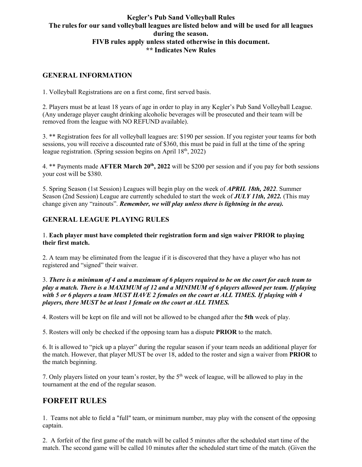## **Kegler's Pub Sand Volleyball Rules The rules for our sand volleyball leagues are listed below and will be used for all leagues during the season. FIVB rules apply unless stated otherwise in this document. \*\* Indicates New Rules**

## **GENERAL INFORMATION**

1. Volleyball Registrations are on a first come, first served basis.

2. Players must be at least 18 years of age in order to play in any Kegler's Pub Sand Volleyball League. (Any underage player caught drinking alcoholic beverages will be prosecuted and their team will be removed from the league with NO REFUND available).

3. \*\* Registration fees for all volleyball leagues are: \$190 per session. If you register your teams for both sessions, you will receive a discounted rate of \$360, this must be paid in full at the time of the spring league registration. (Spring session begins on April  $18<sup>th</sup>$ , 2022)

4. \*\* Payments made **AFTER March 20th, 2022** will be \$200 per session and if you pay for both sessions your cost will be \$380.

5. Spring Season (1st Session) Leagues will begin play on the week of *APRIL 18th, 2022*. Summer Season (2nd Session) League are currently scheduled to start the week of *JULY 11th, 2022.* (This may change given any "rainouts". *Remember, we will play unless there is lightning in the area).*

## **GENERAL LEAGUE PLAYING RULES**

1. **Each player must have completed their registration form and sign waiver PRIOR to playing their first match.**

2. A team may be eliminated from the league if it is discovered that they have a player who has not registered and "signed" their waiver.

#### 3. *There is a minimum of 4 and a maximum of 6 players required to be on the court for each team to play a match. There is a MAXIMUM of 12 and a MINIMUM of 6 players allowed per team. If playing with 5 or 6 players a team MUST HAVE 2 females on the court at ALL TIMES. If playing with 4 players, there MUST be at least 1 female on the court at ALL TIMES.*

4. Rosters will be kept on file and will not be allowed to be changed after the **5th** week of play.

5. Rosters will only be checked if the opposing team has a dispute **PRIOR** to the match.

6. It is allowed to "pick up a player" during the regular season if your team needs an additional player for the match. However, that player MUST be over 18, added to the roster and sign a waiver from **PRIOR** to the match beginning.

7. Only players listed on your team's roster, by the  $5<sup>th</sup>$  week of league, will be allowed to play in the tournament at the end of the regular season.

## **FORFEIT RULES**

1. Teams not able to field a "full" team, or minimum number, may play with the consent of the opposing captain.

2. A forfeit of the first game of the match will be called 5 minutes after the scheduled start time of the match. The second game will be called 10 minutes after the scheduled start time of the match. (Given the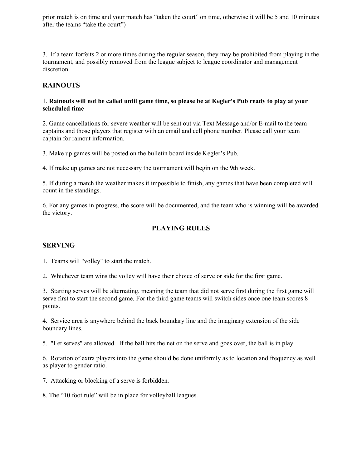prior match is on time and your match has "taken the court" on time, otherwise it will be 5 and 10 minutes after the teams "take the court")

3. If a team forfeits 2 or more times during the regular season, they may be prohibited from playing in the tournament, and possibly removed from the league subject to league coordinator and management discretion.

## **RAINOUTS**

#### 1. **Rainouts will not be called until game time, so please be at Kegler's Pub ready to play at your scheduled time**

2. Game cancellations for severe weather will be sent out via Text Message and/or E-mail to the team captains and those players that register with an email and cell phone number. Please call your team captain for rainout information.

3. Make up games will be posted on the bulletin board inside Kegler's Pub.

4. If make up games are not necessary the tournament will begin on the 9th week.

5. If during a match the weather makes it impossible to finish, any games that have been completed will count in the standings.

6. For any games in progress, the score will be documented, and the team who is winning will be awarded the victory.

## **PLAYING RULES**

#### **SERVING**

1. Teams will "volley" to start the match.

2. Whichever team wins the volley will have their choice of serve or side for the first game.

3. Starting serves will be alternating, meaning the team that did not serve first during the first game will serve first to start the second game. For the third game teams will switch sides once one team scores 8 points.

4. Service area is anywhere behind the back boundary line and the imaginary extension of the side boundary lines.

5. "Let serves" are allowed. If the ball hits the net on the serve and goes over, the ball is in play.

6. Rotation of extra players into the game should be done uniformly as to location and frequency as well as player to gender ratio.

7. Attacking or blocking of a serve is forbidden.

8. The "10 foot rule" will be in place for volleyball leagues.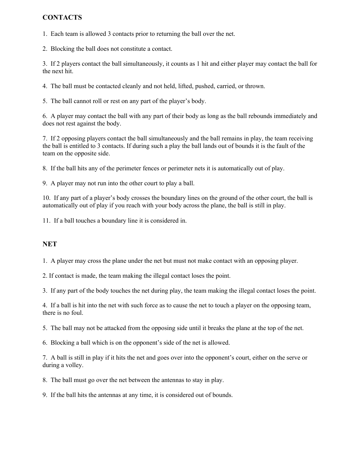## **CONTACTS**

1. Each team is allowed 3 contacts prior to returning the ball over the net.

2. Blocking the ball does not constitute a contact.

3. If 2 players contact the ball simultaneously, it counts as 1 hit and either player may contact the ball for the next hit.

4. The ball must be contacted cleanly and not held, lifted, pushed, carried, or thrown.

5. The ball cannot roll or rest on any part of the player's body.

6. A player may contact the ball with any part of their body as long as the ball rebounds immediately and does not rest against the body.

7. If 2 opposing players contact the ball simultaneously and the ball remains in play, the team receiving the ball is entitled to 3 contacts. If during such a play the ball lands out of bounds it is the fault of the team on the opposite side.

8. If the ball hits any of the perimeter fences or perimeter nets it is automatically out of play.

9. A player may not run into the other court to play a ball.

10. If any part of a player's body crosses the boundary lines on the ground of the other court, the ball is automatically out of play if you reach with your body across the plane, the ball is still in play.

11. If a ball touches a boundary line it is considered in.

#### **NET**

1. A player may cross the plane under the net but must not make contact with an opposing player.

2. If contact is made, the team making the illegal contact loses the point.

3. If any part of the body touches the net during play, the team making the illegal contact loses the point.

4. If a ball is hit into the net with such force as to cause the net to touch a player on the opposing team, there is no foul.

5. The ball may not be attacked from the opposing side until it breaks the plane at the top of the net.

6. Blocking a ball which is on the opponent's side of the net is allowed.

7. A ball is still in play if it hits the net and goes over into the opponent's court, either on the serve or during a volley.

8. The ball must go over the net between the antennas to stay in play.

9. If the ball hits the antennas at any time, it is considered out of bounds.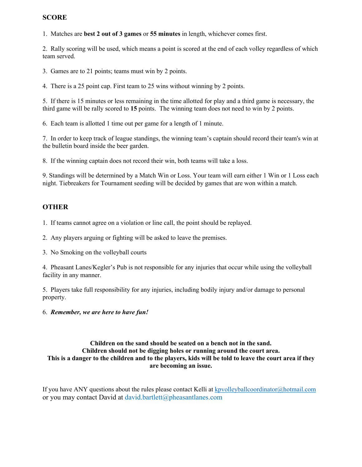## **SCORE**

1. Matches are **best 2 out of 3 games** or **55 minutes** in length, whichever comes first.

2. Rally scoring will be used, which means a point is scored at the end of each volley regardless of which team served.

3. Games are to 21 points; teams must win by 2 points.

4. There is a 25 point cap. First team to 25 wins without winning by 2 points.

5. If there is 15 minutes or less remaining in the time allotted for play and a third game is necessary, the third game will be rally scored to **15** points. The winning team does not need to win by 2 points.

6. Each team is allotted 1 time out per game for a length of 1 minute.

7. In order to keep track of league standings, the winning team's captain should record their team's win at the bulletin board inside the beer garden.

8. If the winning captain does not record their win, both teams will take a loss.

9. Standings will be determined by a Match Win or Loss. Your team will earn either 1 Win or 1 Loss each night. Tiebreakers for Tournament seeding will be decided by games that are won within a match.

## **OTHER**

1. If teams cannot agree on a violation or line call, the point should be replayed.

2. Any players arguing or fighting will be asked to leave the premises.

3. No Smoking on the volleyball courts

4. Pheasant Lanes/Kegler's Pub is not responsible for any injuries that occur while using the volleyball facility in any manner.

5. Players take full responsibility for any injuries, including bodily injury and/or damage to personal property.

## 6. *Remember, we are here to have fun!*

#### **Children on the sand should be seated on a bench not in the sand. Children should not be digging holes or running around the court area. This is a danger to the children and to the players, kids will be told to leave the court area if they are becoming an issue.**

If you have ANY questions about the rules please contact Kelli at kpvolleyballcoordinator@hotmail.com or you may contact David at david.bartlett@pheasantlanes.com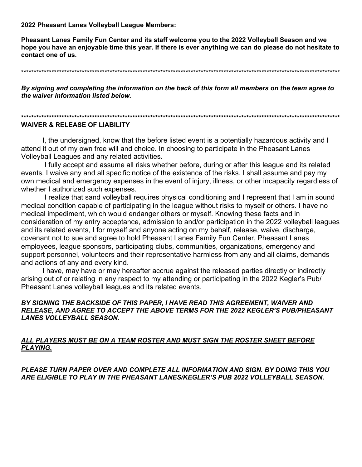2022 Pheasant Lanes Volleyball League Members:

Pheasant Lanes Family Fun Center and its staff welcome you to the 2022 Volleyball Season and we hope you have an enjoyable time this year. If there is ever anything we can do please do not hesitate to contact one of us.

By signing and completing the information on the back of this form all members on the team agree to the waiver information listed below.

# 

#### **WAIVER & RELEASE OF LIABILITY**

I, the undersigned, know that the before listed event is a potentially hazardous activity and I attend it out of my own free will and choice. In choosing to participate in the Pheasant Lanes Volleyball Leagues and any related activities.

I fully accept and assume all risks whether before, during or after this league and its related events. I waive any and all specific notice of the existence of the risks. I shall assume and pay my own medical and emergency expenses in the event of injury, illness, or other incapacity regardless of whether I authorized such expenses.

I realize that sand volleyball requires physical conditioning and I represent that I am in sound medical condition capable of participating in the league without risks to myself or others. I have no medical impediment, which would endanger others or myself. Knowing these facts and in consideration of my entry acceptance, admission to and/or participation in the 2022 volleyball leagues and its related events, I for myself and anyone acting on my behalf, release, waive, discharge, covenant not to sue and agree to hold Pheasant Lanes Family Fun Center, Pheasant Lanes employees, league sponsors, participating clubs, communities, organizations, emergency and support personnel, volunteers and their representative harmless from any and all claims, demands and actions of any and every kind.

I have, may have or may hereafter accrue against the released parties directly or indirectly arising out of or relating in any respect to my attending or participating in the 2022 Kegler's Pub/ Pheasant Lanes volleyball leagues and its related events.

#### BY SIGNING THE BACKSIDE OF THIS PAPER, I HAVE READ THIS AGREEMENT, WAIVER AND RELEASE, AND AGREE TO ACCEPT THE ABOVE TERMS FOR THE 2022 KEGLER'S PUB/PHEASANT **LANES VOLLEYBALL SEASON.**

## ALL PLAYERS MUST BE ON A TEAM ROSTER AND MUST SIGN THE ROSTER SHEET BEFORE **PLAYING.**

PLEASE TURN PAPER OVER AND COMPLETE ALL INFORMATION AND SIGN. BY DOING THIS YOU ARE ELIGIBLE TO PLAY IN THE PHEASANT LANES/KEGLER'S PUB 2022 VOLLEYBALL SEASON.